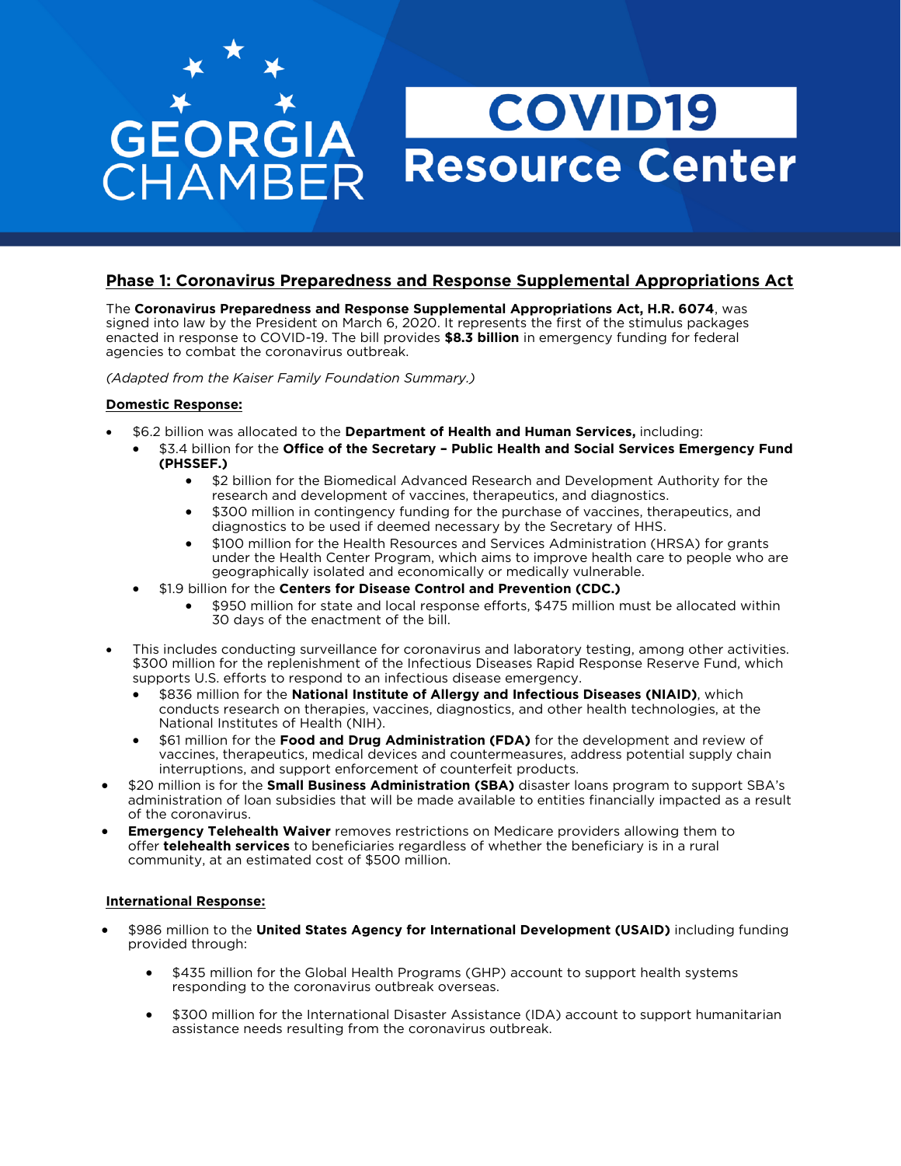# **Phase 1: Coronavirus Preparedness and Response Supplemental Appropriations Act**<br>The Coronavirus Preparedness and Response Supplemental Appropriations Act, H.R. 6074, was

signed into law by the President on March 6, 2020. It represents the first of the stimulus packages enacted in response to COVID-19. The bill provides \$8.3 billion in emergency funding for federal agencies to combat the coronavirus outbreak. agencies to combat the coronavirus outbreak.

*(Adapted from the Kaiser Family Foundation Summary.)* 

### **Domestic Response:**

- \$6.2 billion was allocated to the **Department of Health and Human Services,** including:
	- \$3.4 billion for the **Office of the Secretary – Public Health and Social Services Emergency Fund**
		- **(PHSSEF.)** \$2 billion for the Biomedical Advanced Research and Development Authority for the
			- \$300 million in contingency funding for the purchase of vaccines, therapeutics, and diagnostics to be used if deemed necessary by the Secretary of HHS.
			- \$100 million for the Health Resources and Services Administration (HRSA) for grants<br>under the Health Center Program, which aims to improve health care to people who a under the Health Center Program, which aims to improve health care to people who are geographically isolated and economically or medically vulnerable.
	- geographically isolated and economically or medically vulnerable. \$1.9 billion for the **Centers for Disease Control and Prevention (CDC.)**
		- \$950 million for state and local response efforts, \$475 million must be allocated within 30 days of the enactment of the bill.
- This includes conducting surveillance for coronavirus and laboratory testing, among other activities.<br>\$300 million for the replenishment of the Infectious Diseases Rapid Response Reserve Fund, which supports U.S. efforts to respond to an infectious disease emergency.
	- supports U.S. efforts to respond to an infectious disease emergency. \$836 million for the **National Institute of Allergy and Infectious Diseases (NIAID)**, which conducts research on therapies, vaccines, diagnostics, and other health technologies, at the
	- S61 million for the **Food and Drug Administration (FDA)** for the development and review of vaccines therapeutics medical devices and countermeasures address potential supply chain vaccines, therapeutics, medical devices and countermeasures, address potential supply chain interruptions, and support enforcement of counterfieit products.
- \$20 million is for the **Small Business Administration (SBA)** disaster loans program to support SBA's a result administration of loan subsidies that will be made available to entities financially impacted as a result
- **Emergency Telehealth Waiver** removes restrictions on Medicare providers allowing them to offer **relehealth services** to beneficiaries regardless of whether the beneficiary is in a rural offer **telehealth services** to beneficiaries regardless of whether the beneficiary is in a rural community, at an estimated cost of \$500 million.

## **International Response:**

- \$986 million to the **United States Agency for International Development (USAID)** including funding provided through:
	- \$435 million for the Global Health Programs (GHP) account to support health systems responding to the coronavirus outbreak overseas.
	- \$300 million for the International Disaster Assistance (IDA) account to support humanitarian assistance needs resulting from the coronavirus outbreak.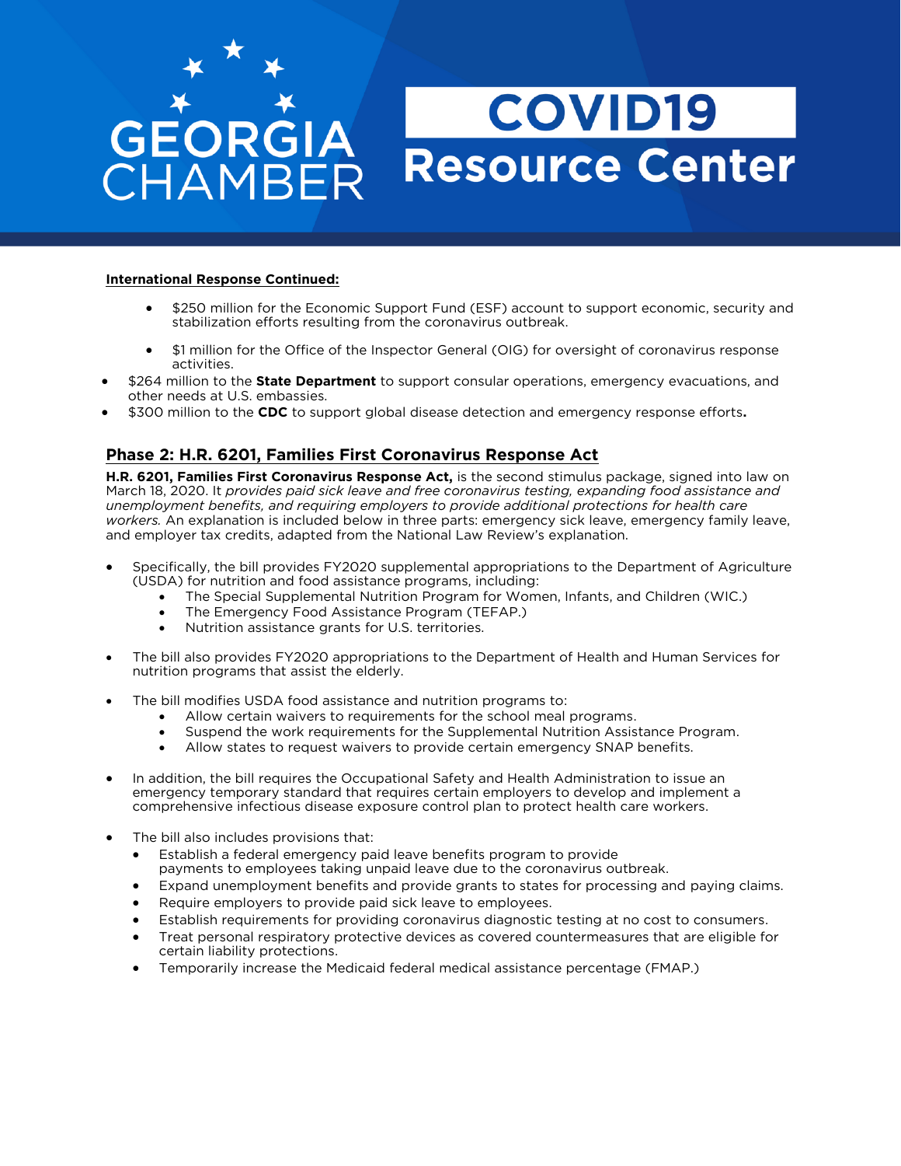### **International Response Continued:**

- \$250 million for the Economic Support Fund (ESF) account to support economic, security and stabilization efforts resulting from the coronavirus outbreak. stabilization efforts resulting from the coronavirus outbreak.
- \$1 million for the Office of the Inspector General (OIG) for oversight of coronavirus response activities.
- \$264 million to the **State Department** to support consular operations, emergency evacuations, and other needs at U.S. embassies.
- \$300 million to the **CDC** to support global disease detection and emergency response efforts.

**Phase 2: H.R. 6201, Families First Coronavirus Response Act** March 18, 2020. It provides paid sick leave and free coronavirus testing, expanding food assistance and unemployment benefits, and requiring employers to provide additional protections for health care *workers.* An explanation is included below in three parts: emergency sick leave, emergency family leave, and employer fax credits, adapted from the National Law Review's explanation and employer tax credits, adapted from the National Law Review's explanation.

- Specifically, the bill provides FY2020 supplemental appropriations to the Department of Agriculture<br>(USDA) for nutrition and food assistance programs, including:
	- The Special Supplemental Nutrition Program for Women, Infants, and Children (WIC.)<br>
	The Emergency Food Assistance Program (TEEAP)
		- The Emergency Food Assistance Program (TEFAP.)
		- Nutrition assistance grants for U.S. territories.
- The bill also provides FY2020 appropriations to the Department of Health and Human Services for nutrition programs that assist the elderly.
- The bill modifies USDA food assistance and nutrition programs to:<br>• Allow certain waivers to requirements for the school meal
	- Allow certain waivers to requirements for the school meal programs.<br>• Suspend the work requirements for the Supplemental Nutrition Assist
	- Suspend the work requirements for the Supplemental Nutrition Assistance Program.
	- Allow states to request waivers to provide certain emergency SNAP benefits.
- In addition, the bill requires the Occupational Safety and Health Administration to issue an emergency temporary standard that requires certain employers to develop and implement a comprehensive infectious disease exposure control plan to protect health care workers. comprehensive infectious disease exposure control plan to protect health care workers.
- The bill also includes provisions that:
	-
	- Establish a federal emergency paid leave benefits program to provide<br>payments to employees taking unpaid leave due to the coronavirus outbreak.
	- Expand unemployment benefits and provide grants to states for processing and paying claims.<br>• Bequire employers to provide paid sick leave to employees.
	- Require employers to provide paid sick leave to employees.<br>• Establish requirements for providing coronavirus diagnostic
	- Establish requirements for providing coronavirus diagnostic testing at no cost to consumers.
	- Treat personal respiratory protective devices as covered countermeasures that are eligible for certain liability protections.
	- Temporarily increase the Medicaid federal medical assistance percentage (FMAP.)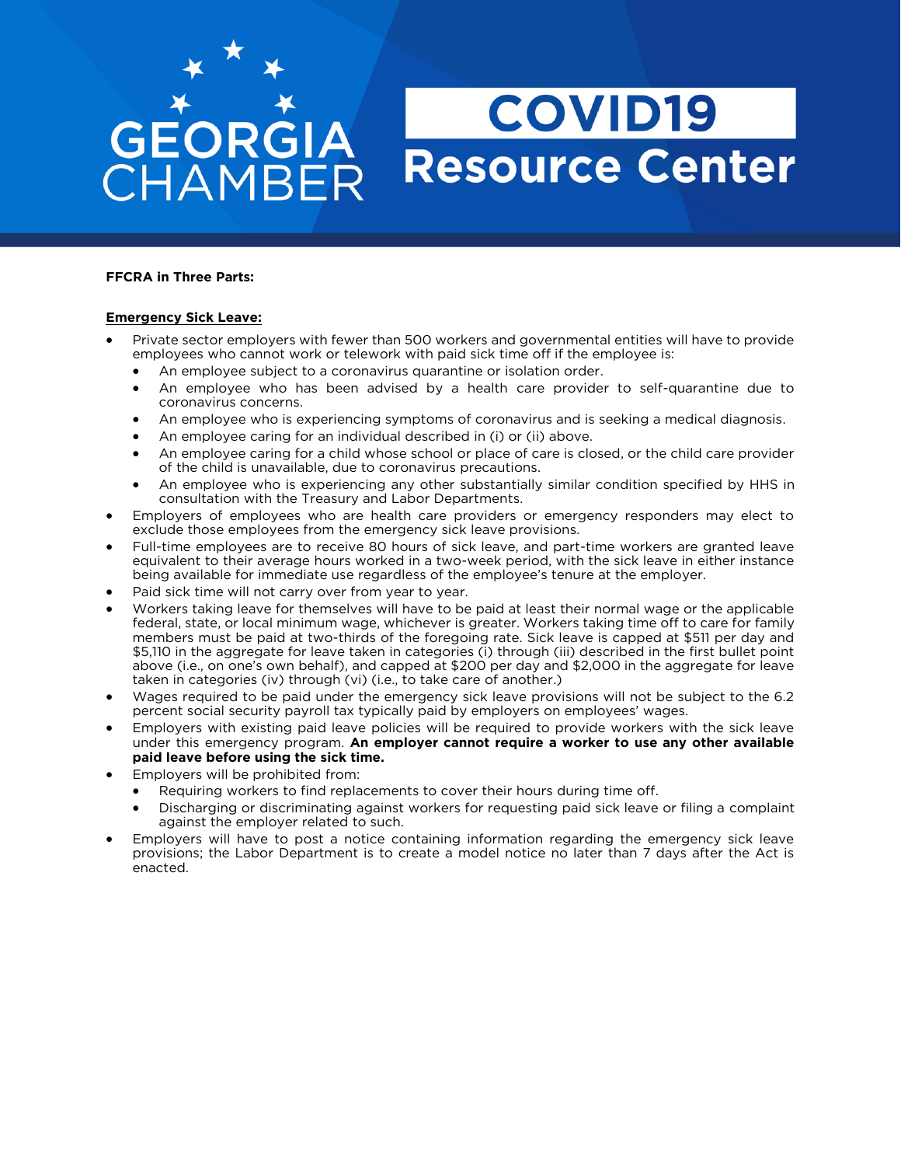# **COVID19** Resource Center

#### **FFCRA in Three Parts: FFCRA in Three Parts:**

GEORGIA

HAMBER

- **Emergency Sick Leave:**  Private sector employers with fewer than 500 workers and governmental entities will have to provide
	- An employee subject to a coronavirus quarantine or isolation order.<br>• An employee who has been advised by a health care provider to self-g
	- An employee who has been advised by a health care provider to self-quarantine due to coronavirus concerns.
	- An employee who is experiencing symptoms of coronavirus and is seeking a medical diagnosis.<br>• An employee caring for an individual described in (i) or (ii) above
	- An employee caring for an individual described in (i) or (ii) above.
	- An employee caring for a child whose school or place of care is closed, or the child care provider of the child is unavailable, due to coronavirus precautions.
	- An employee who is experiencing any other substantially similar condition specified by HHS in consultation with the Treasury and Labor Departments.
- Employers of employees who are health care providers or emergency responders may elect to exclude those employees who are health care providers or emergency responders may elect to
- Full-time employees are to receive 80 hours of sick leave, and part-time workers are granted leave equivalent to their average hours worked in a two-week period, with the sick leave in either instance equivalent to their average hours worked in a two-week period, with the sick leave in either instance<br>being available for immediate use regardless of the employee's tenure at the employer.
- Paid sick time will not carry over from year to year.<br>• Workers taking leave for themselves will have to be paid at least their permal wage or t
- Workers taking leave for themselves will have to be paid at least their normal wage or the applicable federal, state, or local minimum wage, whichever is greater. Workers taking time off to care for family members must be paid at two-thirds of the foregoing rate. Sick leave is capped at \$511 per day and \$5,110 in the aggregate for leave taken in categories (i) through (iii) described in the first bullet point above (i.e., on one's own behalf), and capped at \$200 per day and \$2,000 in the aggregate for leave taken in categories (iv) through (vi) (i.e., to take care of another.)
- Wages required to be paid under the emergency sick leave provisions will not be subject to the 6.2 nercent social security payroll tax typically paid by employers on employees' wages
- Employers with existing paid leave policies will be required to provide workers with the sick leave<br>under this emergency program. An employer cannot require a worker to use any other available under this emergency program. **An employer cannot require a worker to use any other available**
- Employers will be prohibited from:<br>• Pequiring workers to find replacer
	- Requiring workers to find replacements to cover their hours during time off.
	- Discharging or discriminating against workers for requesting paid sick leave or filing a complaint<br>against the employer related to such.
- Employers will have to post a notice containing information regarding the emergency sick leave provisions: the Labor Department is to create a model notice no later than 7 days after the Act is provisions; the Labor Department is the Labor Department is to consider that  $\alpha$  is to consider the Act is to consider the Act is to consider the Act is to consider the Act is to consider the Act is to consider the Act is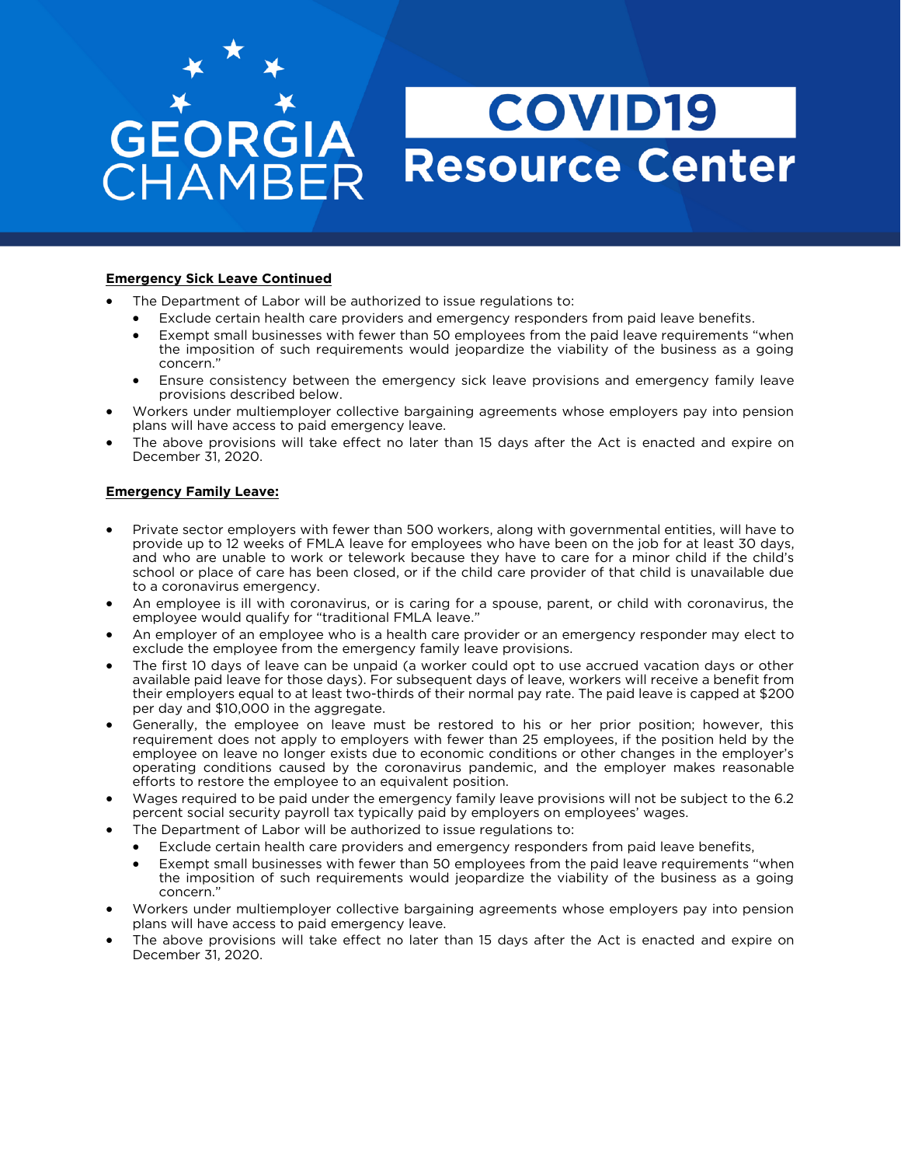- The Department of Labor will be authorized to issue regulations to:
	- Exclude certain health care providers and emergency responders from paid leave benefits.
	- Exempt small businesses with fewer than 50 employees from the paid leave requirements "when the imposition of such requirements would jeopardize the viability of the business as a going
	- Ensure consistency between the emergency sick leave provisions and emergency family leave<br>provisions described below.
- Workers under multiemployer collective bargaining agreements whose employers pay into pension plans will have access to paid emergency leave.
- The above provisions will take effect no later than 15 days after the Act is enacted and expire on<br>December 31, 2020. December 31, 2020.

#### **Emergency Family Leave:**

- Private sector employers with fewer than 500 workers, along with governmental entities, will have to provide up to 12 weeks of FMLA leave for employees who have been on the job for at least 30 days, and who are unable to work or telework because they have to care for a minor child if the child's school or place of care has been closed, or if the child care provider of that child is unavailable due to a coronavirus emergency.
- An employee is ill with coronavirus, or is caring for a spouse, parent, or child with coronavirus, the employee is ill with coronavirus, or is caring for a spouse, parent, or child with coronavirus, the
- An employer of an employee who is a health care provider or an emergency responder may elect to  $\frac{1}{2}$  exclude the employee from the emergency family leave provisions
- The first 10 days of leave can be unpaid (a worker could opt to use accrued vacation days or other<br>• available paid leave for those days). For subsequent days of leave, workers will receive a benefit from available paid leave for those days). For subsequent days of leave, workers will receive a benefit from<br>their employers equal to at least two-thirds of their normal pay rate. The paid leave is capped at \$200 per day and \$10,000 in the aggregate.
- Generally, the employee on leave must be restored to his or her prior position; however, this requirement does not apply to employers with fewer than 25 employees, if the position held by the requirement does not apply to employers with fewer than 25 employees, if the position held by the<br>employee on leave no longer exists due to economic conditions or other changes in the employer's operating conditions caused by the coronavirus pandemic, and the employer makes reasonable efforts to restore the employee to an equivalent position.
- efforts to restrict the emergency family leave provisions will not be subject to the 6.2<br>here the emergency family leave provisions will not be subject to the 6.2<br>percent social security payroll tax typically paid by emplo
- The Department of Labor will be authorized to issue regulations to:<br>• The Department of Labor will be authorized to issue regulations to:
	- Exclude certain health care providers and emergency responders from paid leave benefits,
	- Exempt small businesses with fewer than 50 employees from the paid leave requirements "when<br>the imposition of such requirements would jeopardize the viability of the business as a going the imposition of such requirements would jeopardize the viability of the business as a going
- Workers under multiemployer collective bargaining agreements whose employers pay into pension<br>plans will have access to paid emergency leave.
- The above provisions will take effect no later than 15 days after the Act is enacted and expire on<br>December 31 2020 December 31, 2020.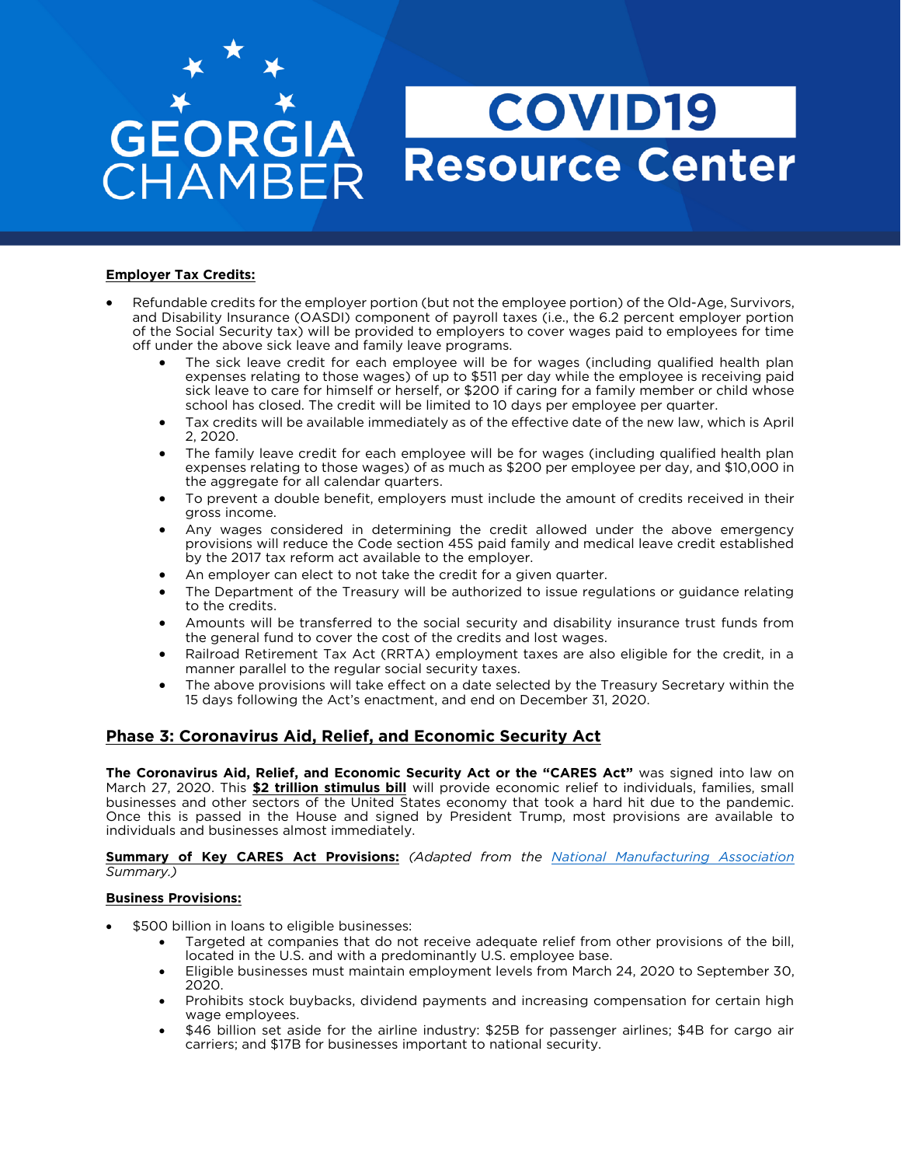#### **Employer Tax Credits:**

- Refundable credits for the employer portion (but not the employee portion) of the Old-Age, Survivors,<br>and Disability Insurance (OASDI) component of payroll taxes (i.e., the 6.2 percent employer portion of the Social Security tax) will be provided to employers to cover wages paid to employees for time off under the above sick leave and family leave programs.
	- The sick leave credit for each employee will be for wages (including qualified health plan<br>expenses relating to those wages) of up to \$511 per day while the employee is receiving paid expenses relating to those wages) of up to \$511 per day while the employee is receiving paid<br>sick leave to care for himself or herself, or \$200 if caring for a family member or child whose school has closed. The credit will be limited to 10 days per employee per quarter.
		- Tax credits will be available immediately as of the effective date of the new law, which is April<br>1. 2. 2020.
		- <sup>2</sup>, 2022. The family leave credit for each employee will be for wages (including qualified health plan<br>expenses relating to those wages) of as much as \$200 per employee per day, and \$10,000 in expenses relating to those wages) of as much as \$200 per employee per day, and \$10,000 in
		- To prevent a double benefit, employers must include the amount of credits received in their<br>gross income.
		- Any wages considered in determining the credit allowed under the above emergency<br>provisions will reduce the Code section 45S paid family and medical leave credit established provisions will reduce the Code section 45S paid family and medical leave credit established<br>by the 2017 tax reform act available to the employer.
		- An employer can elect to not take the credit for a given quarter.<br>• The Department of the Treasury will be authorized to issue require
		- The Department of the Treasury will be authorized to issue regulations or guidance relating to the credits.
		- Amounts will be transferred to the social security and disability insurance trust funds from the general fund to cover the cost of the credits and lost wages.
		- Railroad Retirement Tax Act (RRTA) employment taxes are also eligible for the credit, in a manner parallel to the regular social security taxes.
		- The above provisions will take effect on a date selected by the Treasury Secretary within the 15 days following the Act's enactment, and end on December 31, 2020. 15 days following the Act's enactment, and end on December 31, 2020.

## **Phase 3: Coronavirus Aid, Relief, and Economic Security Act**

**The Coronavirus Aid, Relief, and Economic Security Act or the "CARES Act"** was signed into law on businesses and other sectors of the United States economy that took a hard hit due to the pandemic. Once this is passed in the House and signed by President Trump, most provisions are available to individuals and businesses almost immediately. individuals and businesses almost immediately.

**Summary of Key CARES Act Provisions:** *(Adapted from the [National Manufacturing Association](https://www.nam.org/) Summary.)*

#### **Business Provisions:**

- \$500 billion in loans to eligible businesses:
	- Targeted at companies that do not receive adequate relief from other provisions of the bill, located in the U.S. and with a predominantly U.S. employee base.
	- Eligible businesses must maintain employment levels from March 24, 2020 to September 30, 2020.
	- Prohibits stock buybacks, dividend payments and increasing compensation for certain high<br>wage employees.
	- \$46 billion set aside for the airline industry: \$25B for passenger airlines; \$4B for cargo air carriers: and \$17B for businesses important to national security. carriers; and \$17B for businesses important to national security.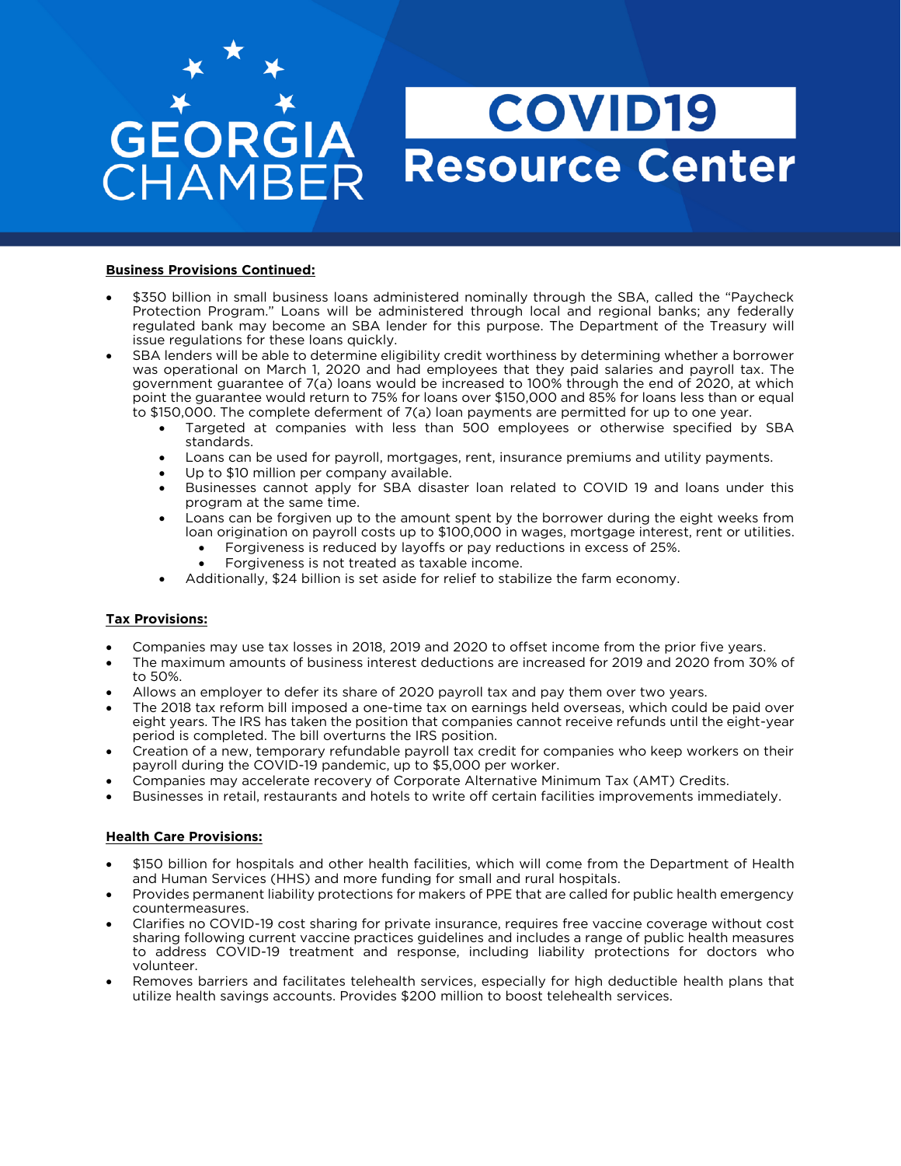# GEORGIA HAMBER

# **COVID19** Resource Center

#### **Business Provisions Continued:**

- \$350 billion in small business loans administered nominally through the SBA, called the "Paycheck<br>Protection Program." Loans will be administered through local and regional banks; any federally regulated bank may become an SBA lender for this purpose. The Department of the Treasury will issue regulations for these loans quickly.
- SBA lenders will be able to determine eligibility credit worthiness by determining whether a borrower was operational on March 1, 2020 and had employees that they paid salaries and payroll tax. The was operational on March 1, 2020 and had employees that they paid salaries and payroll tax. The government guarantee of 7(a) loans would be increased to 100% through the end of 2020, at which point the guarantee would return to 75% for loans over \$150,000 and 85% for loans less than or equal to \$150,000. The complete deferment of 7(a) loan payments are permitted for up to one year.
	- to the completed at companies with less than 500 employees or otherwise specified by SBA standards.
		- Loans can be used for payroll, mortgages, rent, insurance premiums and utility payments.<br>• Un to \$10 million per company available
		- Up to \$10 million per company available.
		- Businesses cannot apply for SBA disaster loan related to COVID 19 and loans under this program at the same time.
		- Loans can be forgiven up to the amount spent by the borrower during the eight weeks from<br>loan origination on payroll costs up to \$100,000 in wages, mortgage interest, rent or utilities.
			- Forgiveness is reduced by layoffs or pay reductions in excess of 25%.<br>• Forgiveness is not treated as taxable income
				- Forgiveness is not treated as taxable income.
		- Additionally, \$24 billion is set aside for relief to stabilize the farm economy.

## **Tax Provisions:**

- Companies may use tax losses in 2018, 2019 and 2020 to offset income from the prior five years.
- The maximum amounts of business interest deductions are increased for 2019 and 2020 from 30% of to
- Allows an employer to defer its share of 2020 payroll tax and pay them over two years.<br>• The 2018 tax reform bill imposed a one-time tax on earnings held overseas which could
- The 2018 tax reform bill imposed a one-time tax on earnings held overseas, which could be paid over<br>eight years. The IRS has taken the position that companies cannot receive refunds until the eight-year period is completed. The bill overturns the IRS position.
- Creation of a new, temporary refundable payroll tax credit for companies who keep workers on their payroll during the COVID-19 pandemic, up to \$5,000 per worker.
- Companies may accelerate recovery of Corporate Alternative Minimum Tax (AMT) Credits.<br>• Businesses in retail, restaurants and botels to write off certain facilities improvements imme
- Businesses in retail, restaurants and hotels to write off certain facilities improvements immediately.

## **Health Care Provisions:**

- \$150 billion for hospitals and other health facilities, which will come from the Department of Health<br>and Human Services (HHS) and more funding for small and rural hospitals.
- Provides permanent liability protections for makers of PPE that are called for public health emergency<br>countermeasures.
- Clarifies no COVID-19 cost sharing for private insurance, requires free vaccine coverage without cost sharing following current vaccine practices quidelines and includes a range of public health measures sharing following current vaccine practices guidelines and includes a range of public health measures<br>to address COVID-19 treatment and response, including liability protections for doctors who to address COVID-19 treatment and response, including liability protections for detections who
- Removes barriers and facilitates telehealth services, especially for high deductible health plans that utilize health savings accounts. Provides \$200 million to boost telehealth services. utilize health savings accounts. Provides \$200 million to boost telehealth services.